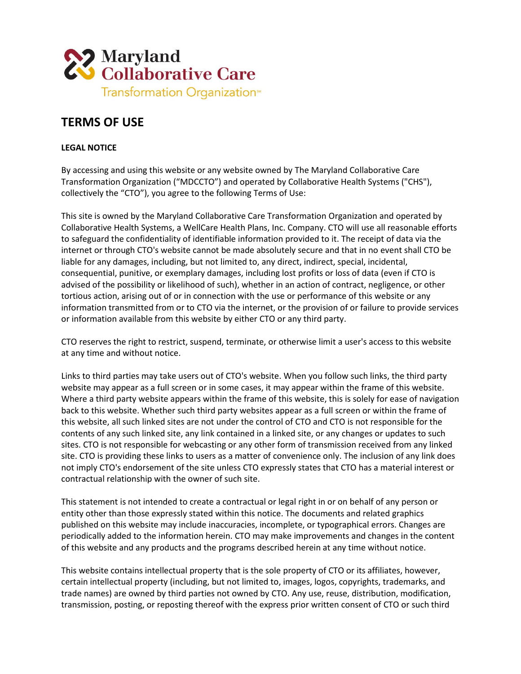

## **TERMS OF USE**

## **LEGAL NOTICE**

By accessing and using this website or any website owned by The Maryland Collaborative Care Transformation Organization ("MDCCTO") and operated by Collaborative Health Systems ("CHS"), collectively the "CTO"), you agree to the following Terms of Use:

This site is owned by the Maryland Collaborative Care Transformation Organization and operated by Collaborative Health Systems, a WellCare Health Plans, Inc. Company. CTO will use all reasonable efforts to safeguard the confidentiality of identifiable information provided to it. The receipt of data via the internet or through CTO's website cannot be made absolutely secure and that in no event shall CTO be liable for any damages, including, but not limited to, any direct, indirect, special, incidental, consequential, punitive, or exemplary damages, including lost profits or loss of data (even if CTO is advised of the possibility or likelihood of such), whether in an action of contract, negligence, or other tortious action, arising out of or in connection with the use or performance of this website or any information transmitted from or to CTO via the internet, or the provision of or failure to provide services or information available from this website by either CTO or any third party.

CTO reserves the right to restrict, suspend, terminate, or otherwise limit a user's access to this website at any time and without notice.

Links to third parties may take users out of CTO's website. When you follow such links, the third party website may appear as a full screen or in some cases, it may appear within the frame of this website. Where a third party website appears within the frame of this website, this is solely for ease of navigation back to this website. Whether such third party websites appear as a full screen or within the frame of this website, all such linked sites are not under the control of CTO and CTO is not responsible for the contents of any such linked site, any link contained in a linked site, or any changes or updates to such sites. CTO is not responsible for webcasting or any other form of transmission received from any linked site. CTO is providing these links to users as a matter of convenience only. The inclusion of any link does not imply CTO's endorsement of the site unless CTO expressly states that CTO has a material interest or contractual relationship with the owner of such site.

This statement is not intended to create a contractual or legal right in or on behalf of any person or entity other than those expressly stated within this notice. The documents and related graphics published on this website may include inaccuracies, incomplete, or typographical errors. Changes are periodically added to the information herein. CTO may make improvements and changes in the content of this website and any products and the programs described herein at any time without notice.

This website contains intellectual property that is the sole property of CTO or its affiliates, however, certain intellectual property (including, but not limited to, images, logos, copyrights, trademarks, and trade names) are owned by third parties not owned by CTO. Any use, reuse, distribution, modification, transmission, posting, or reposting thereof with the express prior written consent of CTO or such third